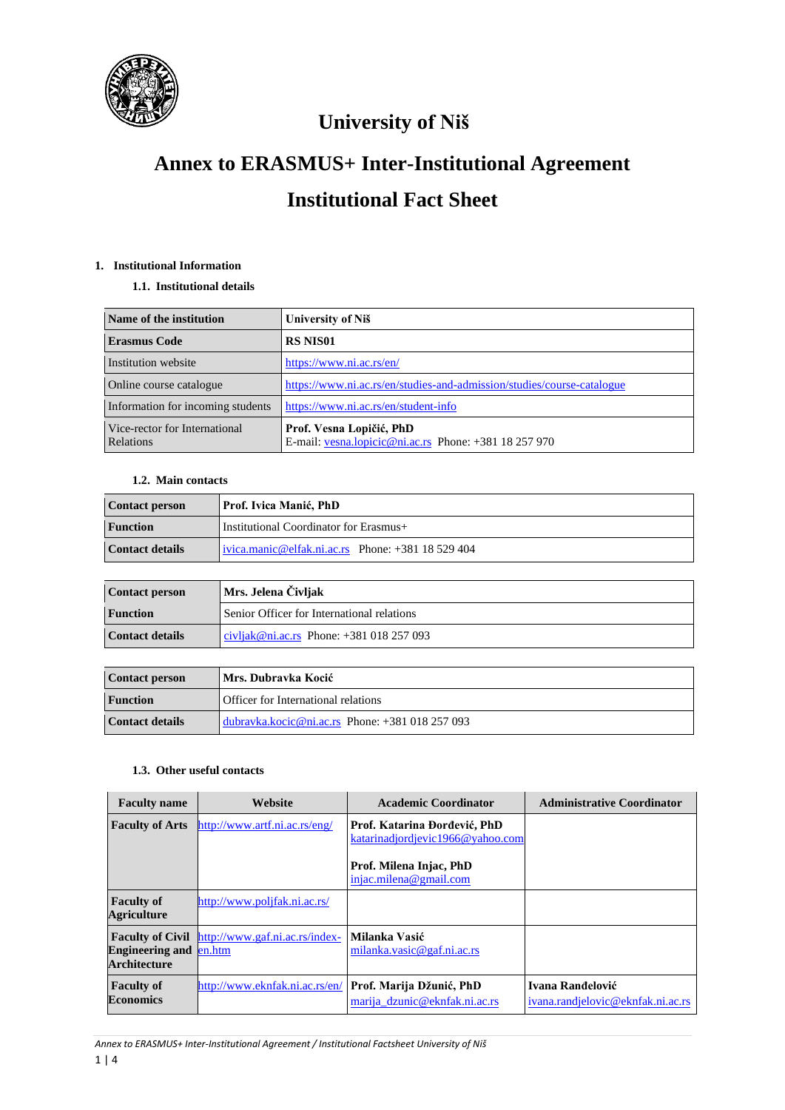

# **Annex to ERASMUS+ Inter-Institutional Agreement Institutional Fact Sheet**

# **1. Institutional Information**

# **1.1. Institutional details**

| Name of the institution                           | University of Niš                                                                 |
|---------------------------------------------------|-----------------------------------------------------------------------------------|
| <b>Erasmus Code</b>                               | <b>RS NIS01</b>                                                                   |
| Institution website                               | https://www.ni.ac.rs/en/                                                          |
| Online course catalogue                           | https://www.ni.ac.rs/en/studies-and-admission/studies/course-catalogue            |
| Information for incoming students                 | https://www.ni.ac.rs/en/student-info                                              |
| Vice-rector for International<br><b>Relations</b> | Prof. Vesna Lopičić, PhD<br>E-mail: vesna.lopicic@ni.ac.rs Phone: +381 18 257 970 |

# **1.2. Main contacts**

| <b>Contact person</b> | Prof. Ivica Manić, PhD                           |
|-----------------------|--------------------------------------------------|
| <b>Function</b>       | Institutional Coordinator for Erasmus+           |
| Contact details       | ivica.manic@elfak.ni.ac.rs Phone: $+38118529404$ |

| <b>Contact person</b>  | Mrs. Jelena Čivljak                        |
|------------------------|--------------------------------------------|
| <b>Function</b>        | Senior Officer for International relations |
| <b>Contact details</b> | civljak@ni.ac.rs Phone: $+381018257093$    |

| <b>Contact person</b> | Mrs. Dubravka Kocić                            |
|-----------------------|------------------------------------------------|
| <b>Function</b>       | Officer for International relations            |
| Contact details       | dubravka.kocic@ni.ac.rs Phone: $+381018257093$ |

# **1.3. Other useful contacts**

| <b>Faculty name</b>                                  | <b>Website</b>                                         | <b>Academic Coordinator</b>                                       | <b>Administrative Coordinator</b>                     |
|------------------------------------------------------|--------------------------------------------------------|-------------------------------------------------------------------|-------------------------------------------------------|
| <b>Faculty of Arts</b>                               | http://www.artf.ni.ac.rs/eng/                          | Prof. Katarina Đorđević, PhD<br>katarinadjor djevic1966@vahoo.com |                                                       |
|                                                      |                                                        | Prof. Milena Injac, PhD<br>injac.milena@gmail.com                 |                                                       |
| <b>Faculty of</b><br><b>Agriculture</b>              | http://www.poljfak.ni.ac.rs/                           |                                                                   |                                                       |
| <b>Engineering and en.htm</b><br><b>Architecture</b> | <b>Faculty of Civil</b> http://www.gaf.ni.ac.rs/index- | Milanka Vasić<br>milanka.vasic@gaf.ni.ac.rs                       |                                                       |
| <b>Faculty of</b><br><b>Economics</b>                | http://www.eknfak.ni.ac.rs/en/                         | Prof. Marija Džunić, PhD<br>marija dzunic@eknfak.ni.ac.rs         | Ivana Ranđelović<br>ivana.randjelovic@eknfak.ni.ac.rs |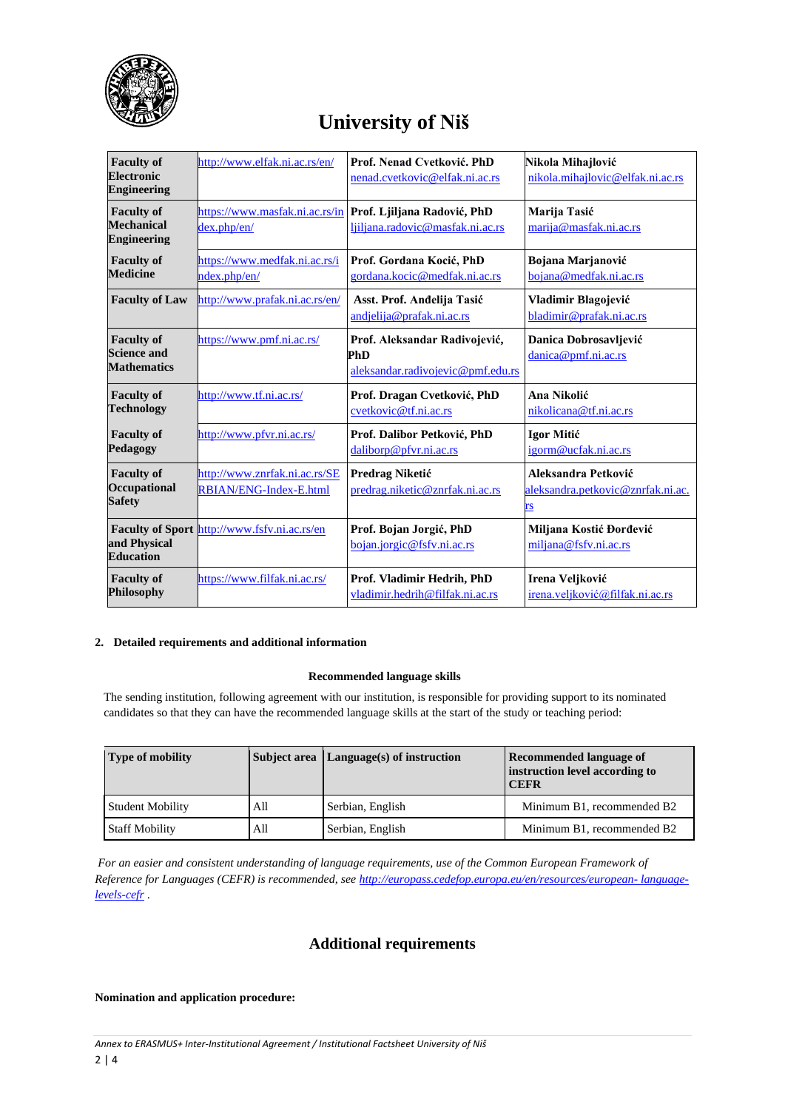

| <b>Faculty of</b><br><b>Electronic</b><br><b>Engineering</b>  | http://www.elfak.ni.ac.rs/en/                           | Prof. Nenad Cvetković. PhD<br>nenad.cvetkovic@elfak.ni.ac.rs              | Nikola Mihajlović<br>nikola.mihajlovic@elfak.ni.ac.rs          |
|---------------------------------------------------------------|---------------------------------------------------------|---------------------------------------------------------------------------|----------------------------------------------------------------|
| <b>Faculty of</b><br>Mechanical<br><b>Engineering</b>         | https://www.masfak.ni.ac.rs/in<br>dex.php/en/           | Prof. Ljiljana Radović, PhD<br>ljiljana.radovic@masfak.ni.ac.rs           | Marija Tasić<br>marija@masfak.ni.ac.rs                         |
| <b>Faculty of</b>                                             | https://www.medfak.ni.ac.rs/i                           | Prof. Gordana Kocić, PhD                                                  | Bojana Marjanović                                              |
| <b>Medicine</b>                                               | ndex.php/en/                                            | gordana.kocic@medfak.ni.ac.rs                                             | bojana@medfak.ni.ac.rs                                         |
| <b>Faculty of Law</b>                                         | http://www.prafak.ni.ac.rs/en/                          | Asst. Prof. Andelija Tasić<br>andjelija@prafak.ni.ac.rs                   | Vladimir Blagojević<br>bladimir@prafak.ni.ac.rs                |
| <b>Faculty of</b><br><b>Science and</b><br><b>Mathematics</b> | https://www.pmf.ni.ac.rs/                               | Prof. Aleksandar Radivojević,<br>PhD<br>aleksandar.radivojevic@pmf.edu.rs | Danica Dobrosavljević<br>danica@pmf.ni.ac.rs                   |
| <b>Faculty of</b>                                             | http://www.tf.ni.ac.rs/                                 | Prof. Dragan Cvetković, PhD                                               | Ana Nikolić                                                    |
| <b>Technology</b>                                             |                                                         | cvetkovic@tf.ni.ac.rs                                                     | nikolicana@tf.ni.ac.rs                                         |
| <b>Faculty of</b>                                             | http://www.pfvr.ni.ac.rs/                               | Prof. Dalibor Petković, PhD                                               | Igor Mitić                                                     |
| Pedagogy                                                      |                                                         | daliborp@pfvr.ni.ac.rs                                                    | igorm@ucfak.ni.ac.rs                                           |
| <b>Faculty of</b><br>Occupational<br><b>Safety</b>            | http://www.znrfak.ni.ac.rs/SE<br>RBIAN/ENG-Index-E.html | Predrag Niketić<br>predrag.niketic@znrfak.ni.ac.rs                        | Aleksandra Petković<br>aleksandra.petkovic@znrfak.ni.ac.<br>rs |
| and Physical                                                  | Faculty of Sport http://www.fsfv.ni.ac.rs/en            | Prof. Bojan Jorgić, PhD                                                   | Miljana Kostić Đorđević                                        |
| <b>Education</b>                                              |                                                         | bojan.jorgic@fsfv.ni.ac.rs                                                | miljana@fsfv.ni.ac.rs                                          |
| <b>Faculty of</b>                                             | https://www.filfak.ni.ac.rs/                            | Prof. Vladimir Hedrih, PhD                                                | Irena Veljković                                                |
| <b>Philosophy</b>                                             |                                                         | vladimir.hedrih@filfak.ni.ac.rs                                           | irena.veljković@filfak.ni.ac.rs                                |

### **2. Detailed requirements and additional information**

### **Recommended language skills**

The sending institution, following agreement with our institution, is responsible for providing support to its nominated candidates so that they can have the recommended language skills at the start of the study or teaching period:

| <b>Type of mobility</b> |     | Subject area Language(s) of instruction | Recommended language of<br>instruction level according to<br><b>CEFR</b> |
|-------------------------|-----|-----------------------------------------|--------------------------------------------------------------------------|
| <b>Student Mobility</b> | All | Serbian, English                        | Minimum B1, recommended B2                                               |
| <b>Staff Mobility</b>   | All | Serbian, English                        | Minimum B1, recommended B2                                               |

*For an easier and consistent understanding of language requirements, use of the Common European Framework of Reference for Languages (CEFR) is recommended, se[e http://europass.cedefop.europa.eu/en/resources/european-](http://europass.cedefop.europa.eu/en/resources/european-%20language-levels-cefr) language[levels-cefr](http://europass.cedefop.europa.eu/en/resources/european-%20language-levels-cefr)* .

# **Additional requirements**

#### **Nomination and application procedure:**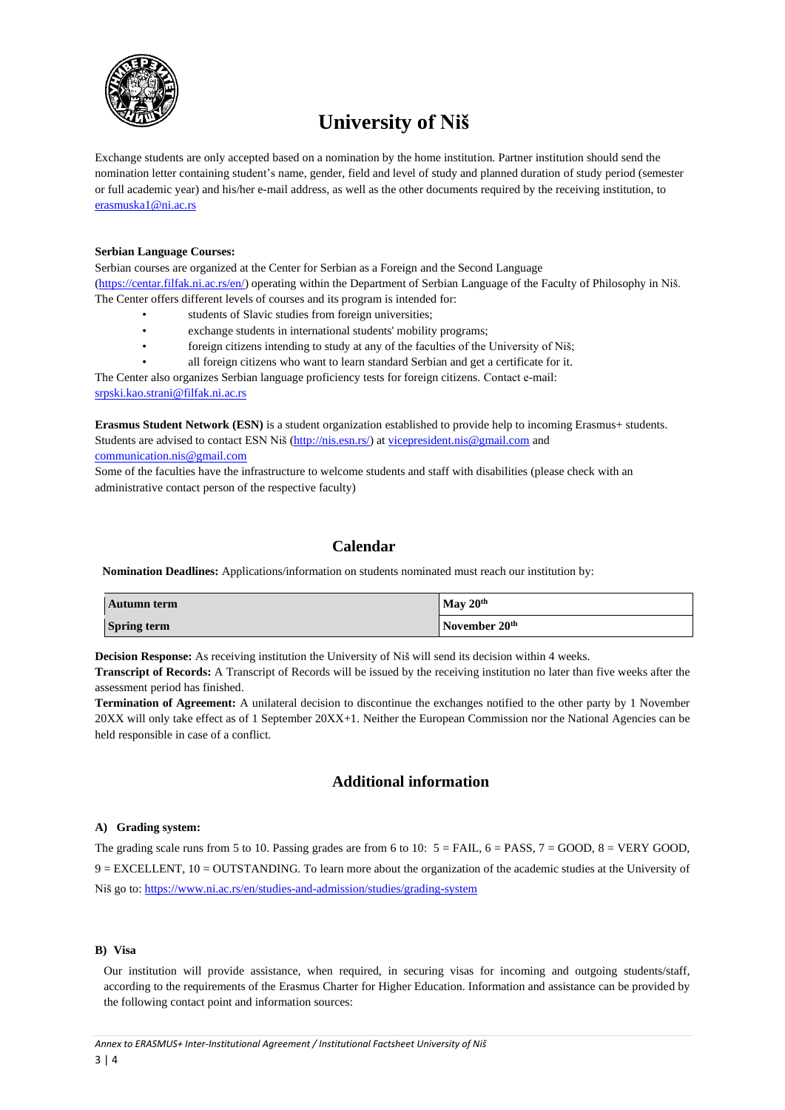

Exchange students are only accepted based on a nomination by the home institution. Partner institution should send the nomination letter containing student's name, gender, field and level of study and planned duration of study period (semester or full academic year) and his/her e-mail address, as well as the other documents required by the receiving institution, to [erasmuska1@ni.ac.rs](mailto:erasmuska1@ni.ac.rs)

#### **Serbian Language Courses:**

Serbian courses are organized at the Center for Serbian as a Foreign and the Second Language [\(https://centar.filfak.ni.ac.rs/en/\)](https://centar.filfak.ni.ac.rs/en/) operating within the Department of Serbian Language of the Faculty of Philosophy in Niš. The Center offers different levels of courses and its program is intended for:

- students of Slavic studies from foreign universities;
- exchange students in international students' mobility programs;
- foreign citizens intending to study at any of the faculties of the University of Niš;
- all foreign citizens who want to learn standard Serbian and get a certificate for it.

The Center also organizes Serbian language proficiency tests for foreign citizens. Contact е-mail: [srpski.kao.strani@filfak.ni.ac.rs](mailto:srpski.kao.strani@filfak.ni.ac.rs)

**Erasmus Student Network (ESN)** is a student organization established to provide help to incoming Erasmus+ students. Students are advised to contact ESN Niš [\(http://nis.esn.rs/\)](http://nis.esn.rs/) a[t vicepresident.nis@gmail.com](mailto:vicepresident.nis@gmail.com) and [communication.nis@gmail.com](mailto:communication.nis@gmail.com)

Some of the faculties have the infrastructure to welcome students and staff with disabilities (please check with an administrative contact person of the respective faculty)

# **Calendar**

**Nomination Deadlines:** Applications/information on students nominated must reach our institution by:

| Autumn term        | May $20th$                |
|--------------------|---------------------------|
| <b>Spring term</b> | November 20 <sup>th</sup> |

**Decision Response:** As receiving institution the University of Niš will send its decision within 4 weeks.

**Transcript of Records:** A Transcript of Records will be issued by the receiving institution no later than five weeks after the assessment period has finished.

**Termination of Agreement:** A unilateral decision to discontinue the exchanges notified to the other party by 1 November 20XX will only take effect as of 1 September 20XX+1. Neither the European Commission nor the National Agencies can be held responsible in case of a conflict.

# **Additional information**

#### **A) Grading system:**

The grading scale runs from 5 to 10. Passing grades are from 6 to 10:  $5 = \text{FAIL}$ ,  $6 = \text{PASS}$ ,  $7 = \text{GOOD}$ ,  $8 = \text{VERY GOD}$ , 9 = EXCELLENT, 10 = OUTSTANDING. To learn more about the organization of the academic studies at the University of Niš go to: <https://www.ni.ac.rs/en/studies-and-admission/studies/grading-system>

### **B) Visa**

Our institution will provide assistance, when required, in securing visas for incoming and outgoing students/staff, according to the requirements of the Erasmus Charter for Higher Education. Information and assistance can be provided by the following contact point and information sources: